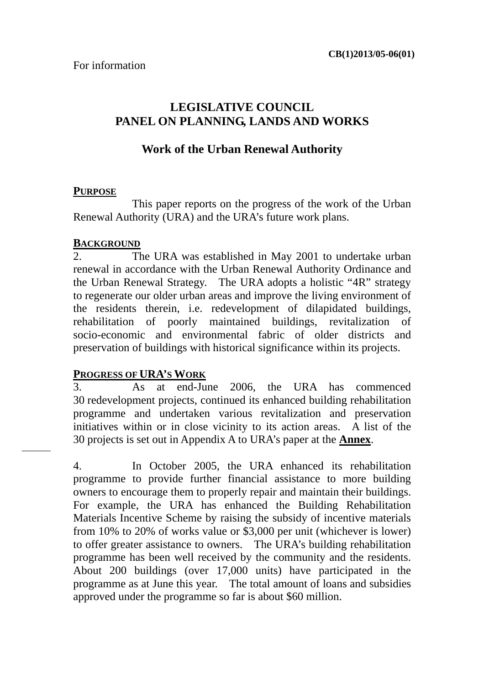## **LEGISLATIVE COUNCIL PANEL ON PLANNING, LANDS AND WORKS**

### **Work of the Urban Renewal Authority**

#### **PURPOSE**

 This paper reports on the progress of the work of the Urban Renewal Authority (URA) and the URA's future work plans.

#### **BACKGROUND**

2. The URA was established in May 2001 to undertake urban renewal in accordance with the Urban Renewal Authority Ordinance and the Urban Renewal Strategy. The URA adopts a holistic "4R" strategy to regenerate our older urban areas and improve the living environment of the residents therein, i.e. redevelopment of dilapidated buildings, rehabilitation of poorly maintained buildings, revitalization of socio-economic and environmental fabric of older districts and preservation of buildings with historical significance within its projects.

#### **PROGRESS OF URA'S WORK**

3. As at end-June 2006, the URA has commenced 30 redevelopment projects, continued its enhanced building rehabilitation programme and undertaken various revitalization and preservation initiatives within or in close vicinity to its action areas. A list of the 30 projects is set out in Appendix A to URA's paper at the **Annex**.

4. In October 2005, the URA enhanced its rehabilitation programme to provide further financial assistance to more building owners to encourage them to properly repair and maintain their buildings. For example, the URA has enhanced the Building Rehabilitation Materials Incentive Scheme by raising the subsidy of incentive materials from 10% to 20% of works value or \$3,000 per unit (whichever is lower) to offer greater assistance to owners. The URA's building rehabilitation programme has been well received by the community and the residents. About 200 buildings (over 17,000 units) have participated in the programme as at June this year. The total amount of loans and subsidies approved under the programme so far is about \$60 million.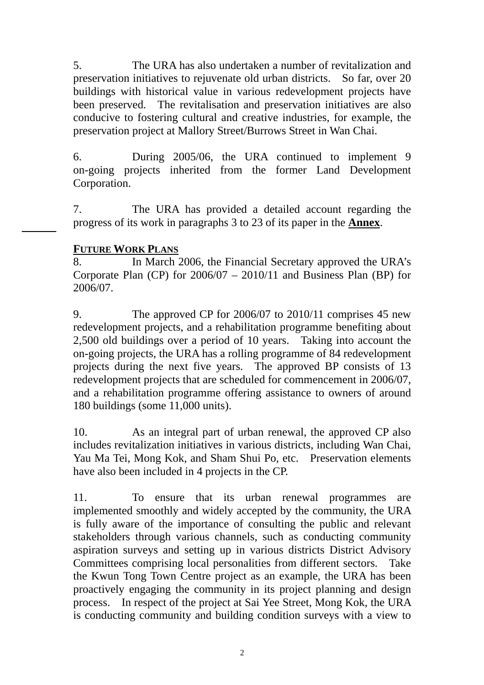5. The URA has also undertaken a number of revitalization and preservation initiatives to rejuvenate old urban districts. So far, over 20 buildings with historical value in various redevelopment projects have been preserved. The revitalisation and preservation initiatives are also conducive to fostering cultural and creative industries, for example, the preservation project at Mallory Street/Burrows Street in Wan Chai.

6. During 2005/06, the URA continued to implement 9 on-going projects inherited from the former Land Development Corporation.

7. The URA has provided a detailed account regarding the progress of its work in paragraphs 3 to 23 of its paper in the **Annex**.

### **FUTURE WORK PLANS**

8. In March 2006, the Financial Secretary approved the URA's Corporate Plan (CP) for 2006/07 – 2010/11 and Business Plan (BP) for 2006/07.

9. The approved CP for 2006/07 to 2010/11 comprises 45 new redevelopment projects, and a rehabilitation programme benefiting about 2,500 old buildings over a period of 10 years. Taking into account the on-going projects, the URA has a rolling programme of 84 redevelopment projects during the next five years. The approved BP consists of 13 redevelopment projects that are scheduled for commencement in 2006/07, and a rehabilitation programme offering assistance to owners of around 180 buildings (some 11,000 units).

10. As an integral part of urban renewal, the approved CP also includes revitalization initiatives in various districts, including Wan Chai, Yau Ma Tei, Mong Kok, and Sham Shui Po, etc. Preservation elements have also been included in 4 projects in the CP.

11. To ensure that its urban renewal programmes are implemented smoothly and widely accepted by the community, the URA is fully aware of the importance of consulting the public and relevant stakeholders through various channels, such as conducting community aspiration surveys and setting up in various districts District Advisory Committees comprising local personalities from different sectors. Take the Kwun Tong Town Centre project as an example, the URA has been proactively engaging the community in its project planning and design process. In respect of the project at Sai Yee Street, Mong Kok, the URA is conducting community and building condition surveys with a view to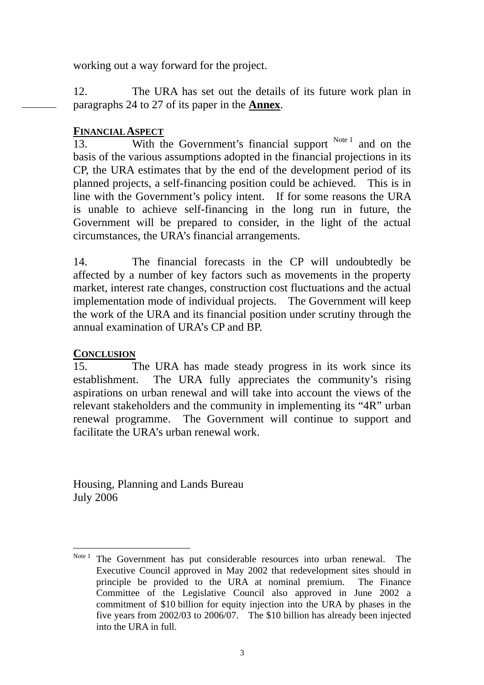working out a way forward for the project.

12. The URA has set out the details of its future work plan in paragraphs 24 to 27 of its paper in the **Annex**.

### **FINANCIAL ASPECT**

13. With the Government's financial support Note 1 and on the basis of the various assumptions adopted in the financial projections in its CP, the URA estimates that by the end of the development period of its planned projects, a self-financing position could be achieved. This is in line with the Government's policy intent. If for some reasons the URA is unable to achieve self-financing in the long run in future, the Government will be prepared to consider, in the light of the actual circumstances, the URA's financial arrangements.

14. The financial forecasts in the CP will undoubtedly be affected by a number of key factors such as movements in the property market, interest rate changes, construction cost fluctuations and the actual implementation mode of individual projects. The Government will keep the work of the URA and its financial position under scrutiny through the annual examination of URA's CP and BP.

### **CONCLUSION**

15. The URA has made steady progress in its work since its establishment. The URA fully appreciates the community's rising aspirations on urban renewal and will take into account the views of the relevant stakeholders and the community in implementing its "4R" urban renewal programme. The Government will continue to support and facilitate the URA's urban renewal work.

Housing, Planning and Lands Bureau July 2006

 $\overline{a}$ Note<sup>1</sup> The Government has put considerable resources into urban renewal. The Executive Council approved in May 2002 that redevelopment sites should in principle be provided to the URA at nominal premium. The Finance Committee of the Legislative Council also approved in June 2002 a commitment of \$10 billion for equity injection into the URA by phases in the five years from 2002/03 to 2006/07. The \$10 billion has already been injected into the URA in full.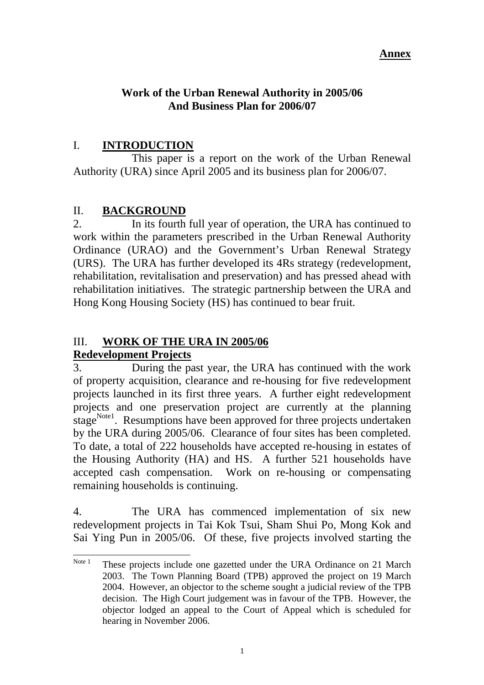#### **Annex**

### **Work of the Urban Renewal Authority in 2005/06 And Business Plan for 2006/07**

## I. **INTRODUCTION**

 This paper is a report on the work of the Urban Renewal Authority (URA) since April 2005 and its business plan for 2006/07.

## II. **BACKGROUND**

2. In its fourth full year of operation, the URA has continued to work within the parameters prescribed in the Urban Renewal Authority Ordinance (URAO) and the Government's Urban Renewal Strategy (URS). The URA has further developed its 4Rs strategy (redevelopment, rehabilitation, revitalisation and preservation) and has pressed ahead with rehabilitation initiatives. The strategic partnership between the URA and Hong Kong Housing Society (HS) has continued to bear fruit.

# III. **WORK OF THE URA IN 2005/06**

### **Redevelopment Projects**

3. During the past year, the URA has continued with the work of property acquisition, clearance and re-housing for five redevelopment projects launched in its first three years. A further eight redevelopment projects and one preservation project are currently at the planning stage<sup>Note1</sup>. Resumptions have been approved for three projects undertaken by the URA during 2005/06. Clearance of four sites has been completed. To date, a total of 222 households have accepted re-housing in estates of the Housing Authority (HA) and HS. A further 521 households have accepted cash compensation. Work on re-housing or compensating remaining households is continuing.

4. The URA has commenced implementation of six new redevelopment projects in Tai Kok Tsui, Sham Shui Po, Mong Kok and Sai Ying Pun in 2005/06. Of these, five projects involved starting the

Note 1 These projects include one gazetted under the URA Ordinance on 21 March 2003. The Town Planning Board (TPB) approved the project on 19 March 2004. However, an objector to the scheme sought a judicial review of the TPB decision. The High Court judgement was in favour of the TPB. However, the objector lodged an appeal to the Court of Appeal which is scheduled for hearing in November 2006.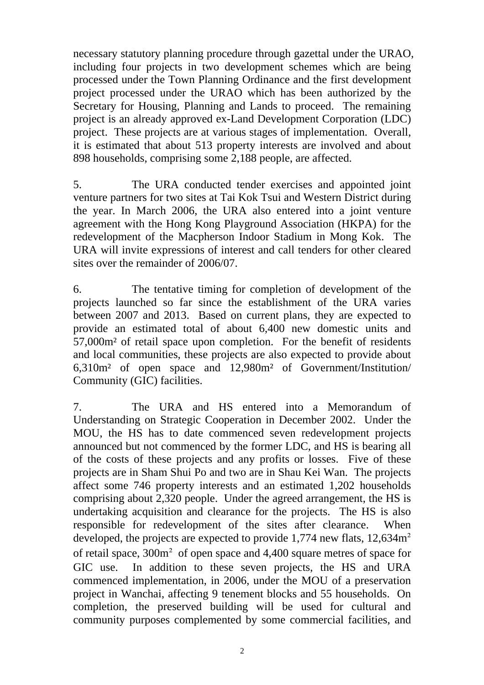necessary statutory planning procedure through gazettal under the URAO, including four projects in two development schemes which are being processed under the Town Planning Ordinance and the first development project processed under the URAO which has been authorized by the Secretary for Housing, Planning and Lands to proceed. The remaining project is an already approved ex-Land Development Corporation (LDC) project. These projects are at various stages of implementation. Overall, it is estimated that about 513 property interests are involved and about 898 households, comprising some 2,188 people, are affected.

5. The URA conducted tender exercises and appointed joint venture partners for two sites at Tai Kok Tsui and Western District during the year. In March 2006, the URA also entered into a joint venture agreement with the Hong Kong Playground Association (HKPA) for the redevelopment of the Macpherson Indoor Stadium in Mong Kok. The URA will invite expressions of interest and call tenders for other cleared sites over the remainder of 2006/07.

6. The tentative timing for completion of development of the projects launched so far since the establishment of the URA varies between 2007 and 2013. Based on current plans, they are expected to provide an estimated total of about 6,400 new domestic units and 57,000m² of retail space upon completion. For the benefit of residents and local communities, these projects are also expected to provide about 6,310m² of open space and 12,980m² of Government/Institution/ Community (GIC) facilities.

7. The URA and HS entered into a Memorandum of Understanding on Strategic Cooperation in December 2002. Under the MOU, the HS has to date commenced seven redevelopment projects announced but not commenced by the former LDC, and HS is bearing all of the costs of these projects and any profits or losses. Five of these projects are in Sham Shui Po and two are in Shau Kei Wan. The projects affect some 746 property interests and an estimated 1,202 households comprising about 2,320 people. Under the agreed arrangement, the HS is undertaking acquisition and clearance for the projects. The HS is also responsible for redevelopment of the sites after clearance. When developed, the projects are expected to provide 1,774 new flats, 12,634m<sup>2</sup> of retail space, 300m² of open space and 4,400 square metres of space for GIC use. In addition to these seven projects, the HS and URA commenced implementation, in 2006, under the MOU of a preservation project in Wanchai, affecting 9 tenement blocks and 55 households. On completion, the preserved building will be used for cultural and community purposes complemented by some commercial facilities, and

2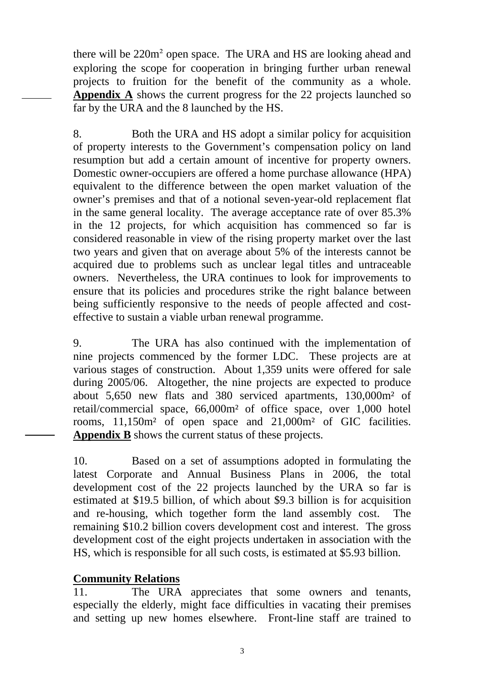there will be 220m² open space. The URA and HS are looking ahead and exploring the scope for cooperation in bringing further urban renewal projects to fruition for the benefit of the community as a whole. **Appendix A** shows the current progress for the 22 projects launched so far by the URA and the 8 launched by the HS.

8. Both the URA and HS adopt a similar policy for acquisition of property interests to the Government's compensation policy on land resumption but add a certain amount of incentive for property owners. Domestic owner-occupiers are offered a home purchase allowance (HPA) equivalent to the difference between the open market valuation of the owner's premises and that of a notional seven-year-old replacement flat in the same general locality. The average acceptance rate of over 85.3% in the 12 projects, for which acquisition has commenced so far is considered reasonable in view of the rising property market over the last two years and given that on average about 5% of the interests cannot be acquired due to problems such as unclear legal titles and untraceable owners. Nevertheless, the URA continues to look for improvements to ensure that its policies and procedures strike the right balance between being sufficiently responsive to the needs of people affected and costeffective to sustain a viable urban renewal programme.

9. The URA has also continued with the implementation of nine projects commenced by the former LDC. These projects are at various stages of construction. About 1,359 units were offered for sale during 2005/06. Altogether, the nine projects are expected to produce about 5,650 new flats and 380 serviced apartments, 130,000m² of retail/commercial space, 66,000m² of office space, over 1,000 hotel rooms, 11,150m² of open space and 21,000m² of GIC facilities. **Appendix B** shows the current status of these projects.

10. Based on a set of assumptions adopted in formulating the latest Corporate and Annual Business Plans in 2006, the total development cost of the 22 projects launched by the URA so far is estimated at \$19.5 billion, of which about \$9.3 billion is for acquisition and re-housing, which together form the land assembly cost. The remaining \$10.2 billion covers development cost and interest. The gross development cost of the eight projects undertaken in association with the HS, which is responsible for all such costs, is estimated at \$5.93 billion.

### **Community Relations**

11. The URA appreciates that some owners and tenants, especially the elderly, might face difficulties in vacating their premises and setting up new homes elsewhere. Front-line staff are trained to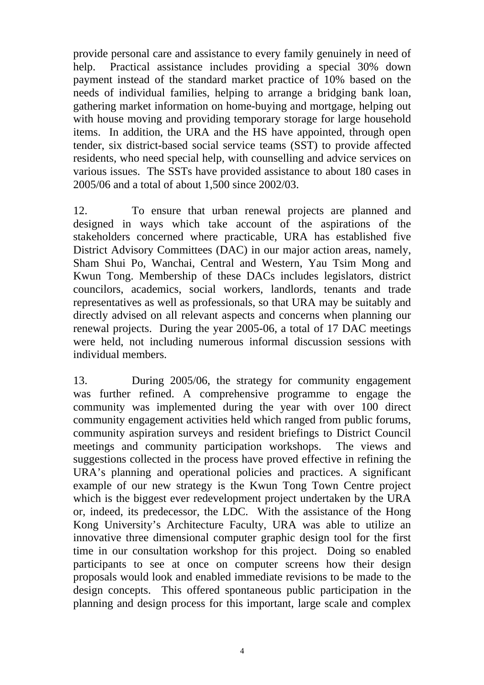provide personal care and assistance to every family genuinely in need of help. Practical assistance includes providing a special 30% down payment instead of the standard market practice of 10% based on the needs of individual families, helping to arrange a bridging bank loan, gathering market information on home-buying and mortgage, helping out with house moving and providing temporary storage for large household items. In addition, the URA and the HS have appointed, through open tender, six district-based social service teams (SST) to provide affected residents, who need special help, with counselling and advice services on various issues. The SSTs have provided assistance to about 180 cases in 2005/06 and a total of about 1,500 since 2002/03.

12. To ensure that urban renewal projects are planned and designed in ways which take account of the aspirations of the stakeholders concerned where practicable, URA has established five District Advisory Committees (DAC) in our major action areas, namely, Sham Shui Po, Wanchai, Central and Western, Yau Tsim Mong and Kwun Tong. Membership of these DACs includes legislators, district councilors, academics, social workers, landlords, tenants and trade representatives as well as professionals, so that URA may be suitably and directly advised on all relevant aspects and concerns when planning our renewal projects. During the year 2005-06, a total of 17 DAC meetings were held, not including numerous informal discussion sessions with individual members.

13. During 2005/06, the strategy for community engagement was further refined. A comprehensive programme to engage the community was implemented during the year with over 100 direct community engagement activities held which ranged from public forums, community aspiration surveys and resident briefings to District Council meetings and community participation workshops. The views and suggestions collected in the process have proved effective in refining the URA's planning and operational policies and practices. A significant example of our new strategy is the Kwun Tong Town Centre project which is the biggest ever redevelopment project undertaken by the URA or, indeed, its predecessor, the LDC. With the assistance of the Hong Kong University's Architecture Faculty, URA was able to utilize an innovative three dimensional computer graphic design tool for the first time in our consultation workshop for this project. Doing so enabled participants to see at once on computer screens how their design proposals would look and enabled immediate revisions to be made to the design concepts. This offered spontaneous public participation in the planning and design process for this important, large scale and complex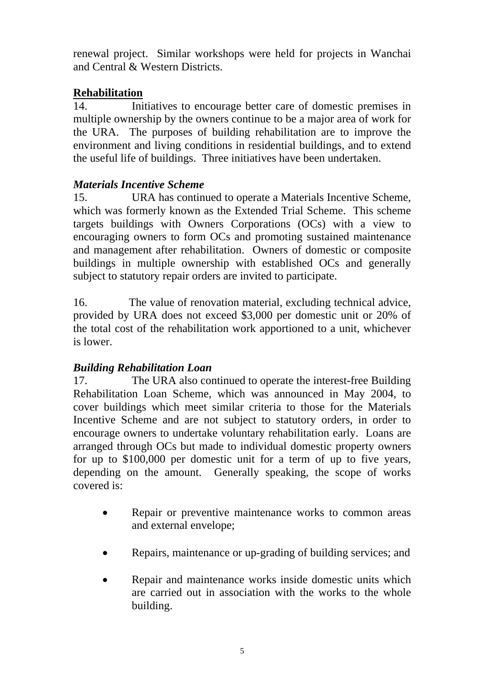renewal project. Similar workshops were held for projects in Wanchai and Central & Western Districts.

## **Rehabilitation**

14. Initiatives to encourage better care of domestic premises in multiple ownership by the owners continue to be a major area of work for the URA. The purposes of building rehabilitation are to improve the environment and living conditions in residential buildings, and to extend the useful life of buildings. Three initiatives have been undertaken.

### *Materials Incentive Scheme*

15. URA has continued to operate a Materials Incentive Scheme, which was formerly known as the Extended Trial Scheme. This scheme targets buildings with Owners Corporations (OCs) with a view to encouraging owners to form OCs and promoting sustained maintenance and management after rehabilitation. Owners of domestic or composite buildings in multiple ownership with established OCs and generally subject to statutory repair orders are invited to participate.

16. The value of renovation material, excluding technical advice, provided by URA does not exceed \$3,000 per domestic unit or 20% of the total cost of the rehabilitation work apportioned to a unit, whichever is lower.

# *Building Rehabilitation Loan*

17. The URA also continued to operate the interest-free Building Rehabilitation Loan Scheme, which was announced in May 2004, to cover buildings which meet similar criteria to those for the Materials Incentive Scheme and are not subject to statutory orders, in order to encourage owners to undertake voluntary rehabilitation early. Loans are arranged through OCs but made to individual domestic property owners for up to \$100,000 per domestic unit for a term of up to five years, depending on the amount. Generally speaking, the scope of works covered is:

- Repair or preventive maintenance works to common areas and external envelope;
- Repairs, maintenance or up-grading of building services; and
- Repair and maintenance works inside domestic units which are carried out in association with the works to the whole building.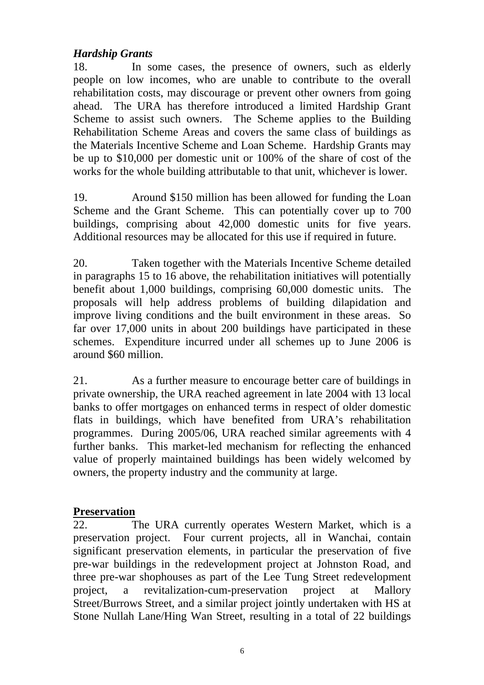### *Hardship Grants*

18. In some cases, the presence of owners, such as elderly people on low incomes, who are unable to contribute to the overall rehabilitation costs, may discourage or prevent other owners from going ahead. The URA has therefore introduced a limited Hardship Grant Scheme to assist such owners. The Scheme applies to the Building Rehabilitation Scheme Areas and covers the same class of buildings as the Materials Incentive Scheme and Loan Scheme. Hardship Grants may be up to \$10,000 per domestic unit or 100% of the share of cost of the works for the whole building attributable to that unit, whichever is lower.

19. Around \$150 million has been allowed for funding the Loan Scheme and the Grant Scheme. This can potentially cover up to 700 buildings, comprising about 42,000 domestic units for five years. Additional resources may be allocated for this use if required in future.

20. Taken together with the Materials Incentive Scheme detailed in paragraphs 15 to 16 above, the rehabilitation initiatives will potentially benefit about 1,000 buildings, comprising 60,000 domestic units. The proposals will help address problems of building dilapidation and improve living conditions and the built environment in these areas. So far over 17,000 units in about 200 buildings have participated in these schemes. Expenditure incurred under all schemes up to June 2006 is around \$60 million.

21. As a further measure to encourage better care of buildings in private ownership, the URA reached agreement in late 2004 with 13 local banks to offer mortgages on enhanced terms in respect of older domestic flats in buildings, which have benefited from URA's rehabilitation programmes. During 2005/06, URA reached similar agreements with 4 further banks. This market-led mechanism for reflecting the enhanced value of properly maintained buildings has been widely welcomed by owners, the property industry and the community at large.

### **Preservation**

22. The URA currently operates Western Market, which is a preservation project. Four current projects, all in Wanchai, contain significant preservation elements, in particular the preservation of five pre-war buildings in the redevelopment project at Johnston Road, and three pre-war shophouses as part of the Lee Tung Street redevelopment project, a revitalization-cum-preservation project at Mallory Street/Burrows Street, and a similar project jointly undertaken with HS at Stone Nullah Lane/Hing Wan Street, resulting in a total of 22 buildings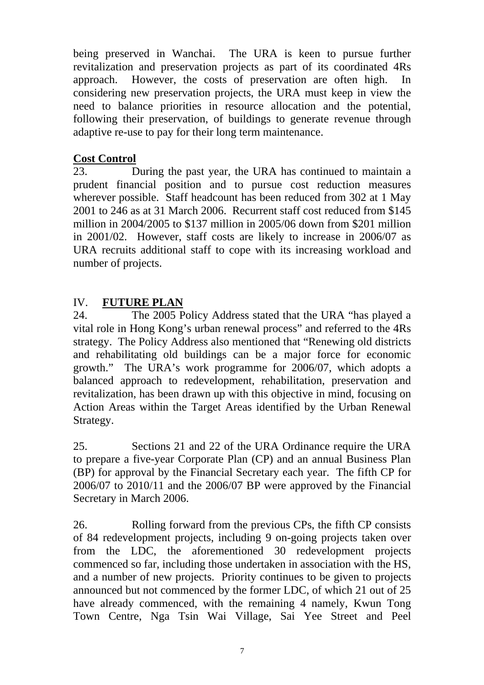being preserved in Wanchai. The URA is keen to pursue further revitalization and preservation projects as part of its coordinated 4Rs approach. However, the costs of preservation are often high. considering new preservation projects, the URA must keep in view the need to balance priorities in resource allocation and the potential, following their preservation, of buildings to generate revenue through adaptive re-use to pay for their long term maintenance.

### **Cost Control**

23. During the past year, the URA has continued to maintain a prudent financial position and to pursue cost reduction measures wherever possible. Staff headcount has been reduced from 302 at 1 May 2001 to 246 as at 31 March 2006. Recurrent staff cost reduced from \$145 million in 2004/2005 to \$137 million in 2005/06 down from \$201 million in 2001/02. However, staff costs are likely to increase in 2006/07 as URA recruits additional staff to cope with its increasing workload and number of projects.

# IV. **FUTURE PLAN**

24. The 2005 Policy Address stated that the URA "has played a vital role in Hong Kong's urban renewal process" and referred to the 4Rs strategy. The Policy Address also mentioned that "Renewing old districts and rehabilitating old buildings can be a major force for economic growth." The URA's work programme for 2006/07, which adopts a balanced approach to redevelopment, rehabilitation, preservation and revitalization, has been drawn up with this objective in mind, focusing on Action Areas within the Target Areas identified by the Urban Renewal Strategy.

25. Sections 21 and 22 of the URA Ordinance require the URA to prepare a five-year Corporate Plan (CP) and an annual Business Plan (BP) for approval by the Financial Secretary each year. The fifth CP for 2006/07 to 2010/11 and the 2006/07 BP were approved by the Financial Secretary in March 2006.

26. Rolling forward from the previous CPs, the fifth CP consists of 84 redevelopment projects, including 9 on-going projects taken over from the LDC, the aforementioned 30 redevelopment projects commenced so far, including those undertaken in association with the HS, and a number of new projects. Priority continues to be given to projects announced but not commenced by the former LDC, of which 21 out of 25 have already commenced, with the remaining 4 namely, Kwun Tong Town Centre, Nga Tsin Wai Village, Sai Yee Street and Peel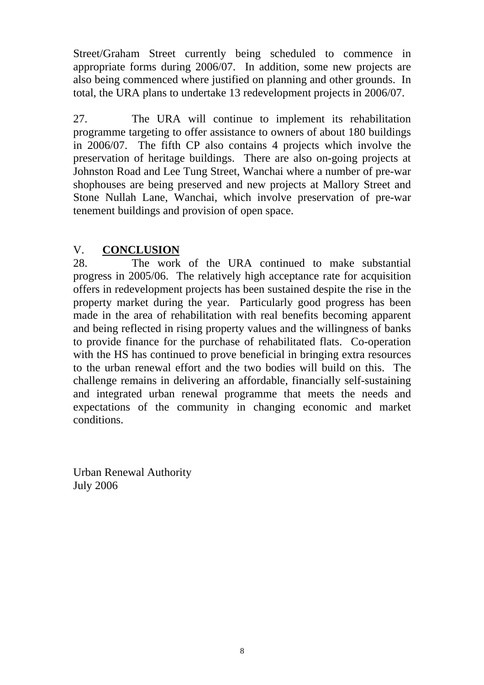Street/Graham Street currently being scheduled to commence in appropriate forms during 2006/07. In addition, some new projects are also being commenced where justified on planning and other grounds. In total, the URA plans to undertake 13 redevelopment projects in 2006/07.

27. The URA will continue to implement its rehabilitation programme targeting to offer assistance to owners of about 180 buildings in 2006/07. The fifth CP also contains 4 projects which involve the preservation of heritage buildings. There are also on-going projects at Johnston Road and Lee Tung Street, Wanchai where a number of pre-war shophouses are being preserved and new projects at Mallory Street and Stone Nullah Lane, Wanchai, which involve preservation of pre-war tenement buildings and provision of open space.

## V. **CONCLUSION**

28. The work of the URA continued to make substantial progress in 2005/06. The relatively high acceptance rate for acquisition offers in redevelopment projects has been sustained despite the rise in the property market during the year. Particularly good progress has been made in the area of rehabilitation with real benefits becoming apparent and being reflected in rising property values and the willingness of banks to provide finance for the purchase of rehabilitated flats. Co-operation with the HS has continued to prove beneficial in bringing extra resources to the urban renewal effort and the two bodies will build on this. The challenge remains in delivering an affordable, financially self-sustaining and integrated urban renewal programme that meets the needs and expectations of the community in changing economic and market conditions.

Urban Renewal Authority July 2006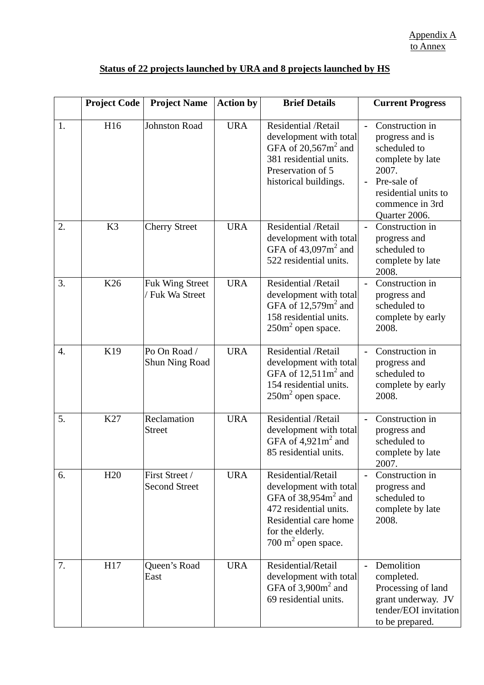## **Status of 22 projects launched by URA and 8 projects launched by HS**

|    | <b>Project Code</b> | <b>Project Name</b>                       | <b>Action by</b> | <b>Brief Details</b>                                                                                                                                                          | <b>Current Progress</b>                                                                                                                                                      |
|----|---------------------|-------------------------------------------|------------------|-------------------------------------------------------------------------------------------------------------------------------------------------------------------------------|------------------------------------------------------------------------------------------------------------------------------------------------------------------------------|
| 1. | H16                 | <b>Johnston Road</b>                      | <b>URA</b>       | Residential / Retail<br>development with total<br>GFA of $20,567$ m <sup>2</sup> and<br>381 residential units.<br>Preservation of 5<br>historical buildings.                  | Construction in<br>$\blacksquare$<br>progress and is<br>scheduled to<br>complete by late<br>2007.<br>Pre-sale of<br>residential units to<br>commence in 3rd<br>Quarter 2006. |
| 2. | K <sub>3</sub>      | <b>Cherry Street</b>                      | <b>URA</b>       | Residential / Retail<br>development with total<br>GFA of $43,097$ m <sup>2</sup> and<br>522 residential units.                                                                | Construction in<br>progress and<br>scheduled to<br>complete by late<br>2008.                                                                                                 |
| 3. | K <sub>26</sub>     | <b>Fuk Wing Street</b><br>/ Fuk Wa Street | <b>URA</b>       | Residential /Retail<br>development with total<br>GFA of $12,579m^2$ and<br>158 residential units.<br>$250m2$ open space.                                                      | Construction in<br>progress and<br>scheduled to<br>complete by early<br>2008.                                                                                                |
| 4. | K19                 | Po On Road /<br>Shun Ning Road            | <b>URA</b>       | Residential /Retail<br>development with total<br>GFA of $12,511m^2$ and<br>154 residential units.<br>$250m2$ open space.                                                      | Construction in<br>progress and<br>scheduled to<br>complete by early<br>2008.                                                                                                |
| 5. | K27                 | Reclamation<br><b>Street</b>              | <b>URA</b>       | Residential /Retail<br>development with total<br>GFA of $4,921m^2$ and<br>85 residential units.                                                                               | Construction in<br>progress and<br>scheduled to<br>complete by late<br>2007.                                                                                                 |
| 6. | H20                 | First Street /<br><b>Second Street</b>    | <b>URA</b>       | Residential/Retail<br>development with total<br>GFA of $38,954m2$ and<br>472 residential units.<br>Residential care home<br>for the elderly.<br>$700 \text{ m}^2$ open space. | Construction in<br>progress and<br>scheduled to<br>complete by late<br>2008.                                                                                                 |
| 7. | H17                 | Queen's Road<br>East                      | <b>URA</b>       | Residential/Retail<br>development with total<br>GFA of $3,900m^2$ and<br>69 residential units.                                                                                | Demolition<br>completed.<br>Processing of land<br>grant underway. JV<br>tender/EOI invitation<br>to be prepared.                                                             |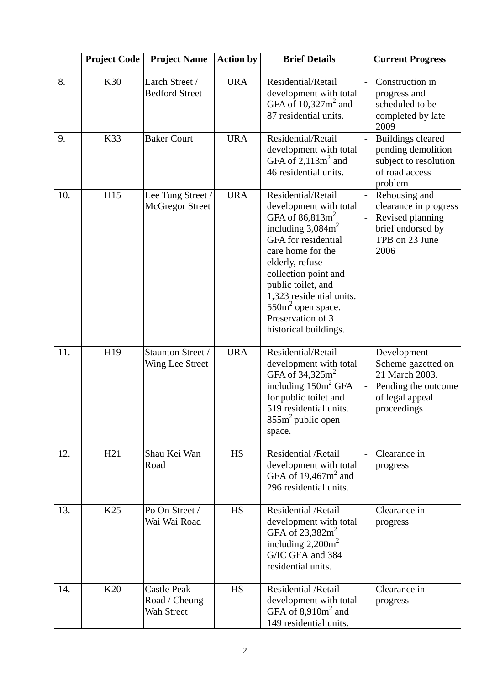|     | <b>Project Code</b> | <b>Project Name</b>                               | <b>Action by</b> | <b>Brief Details</b>                                                                                                                                                                                                                                                                                    | <b>Current Progress</b>                                                                                                                       |
|-----|---------------------|---------------------------------------------------|------------------|---------------------------------------------------------------------------------------------------------------------------------------------------------------------------------------------------------------------------------------------------------------------------------------------------------|-----------------------------------------------------------------------------------------------------------------------------------------------|
| 8.  | K30                 | Larch Street /<br><b>Bedford Street</b>           | <b>URA</b>       | Residential/Retail<br>development with total<br>GFA of $10,327$ m <sup>2</sup> and<br>87 residential units.                                                                                                                                                                                             | Construction in<br>progress and<br>scheduled to be<br>completed by late<br>2009                                                               |
| 9.  | K33                 | <b>Baker Court</b>                                | <b>URA</b>       | Residential/Retail<br>development with total<br>GFA of $2,113m^2$ and<br>46 residential units.                                                                                                                                                                                                          | <b>Buildings cleared</b><br>pending demolition<br>subject to resolution<br>of road access<br>problem                                          |
| 10. | H15                 | Lee Tung Street /<br><b>McGregor Street</b>       | <b>URA</b>       | Residential/Retail<br>development with total<br>GFA of $86,813m2$<br>including $3,084m^2$<br>GFA for residential<br>care home for the<br>elderly, refuse<br>collection point and<br>public toilet, and<br>1,323 residential units.<br>$550m2$ open space.<br>Preservation of 3<br>historical buildings. | Rehousing and<br>$\blacksquare$<br>clearance in progress<br>Revised planning<br>$\blacksquare$<br>brief endorsed by<br>TPB on 23 June<br>2006 |
| 11. | H19                 | Staunton Street /<br>Wing Lee Street              | <b>URA</b>       | Residential/Retail<br>development with total<br>GFA of $34,325$ m <sup>2</sup><br>including $150m^2$ GFA<br>for public toilet and<br>519 residential units.<br>$855m2$ public open<br>space.                                                                                                            | Development<br>$\blacksquare$<br>Scheme gazetted on<br>21 March 2003.<br>Pending the outcome<br>of legal appeal<br>proceedings                |
| 12. | H21                 | Shau Kei Wan<br>Road                              | <b>HS</b>        | <b>Residential / Retail</b><br>development with total<br>GFA of $19,467$ m <sup>2</sup> and<br>296 residential units.                                                                                                                                                                                   | Clearance in<br>progress                                                                                                                      |
| 13. | K25                 | Po On Street /<br>Wai Wai Road                    | HS               | Residential / Retail<br>development with total<br>GFA of 23,382m <sup>2</sup><br>including $2,200m^2$<br>G/IC GFA and 384<br>residential units.                                                                                                                                                         | Clearance in<br>progress                                                                                                                      |
| 14. | K <sub>20</sub>     | <b>Castle Peak</b><br>Road / Cheung<br>Wah Street | <b>HS</b>        | Residential / Retail<br>development with total<br>GFA of $8,910m^2$ and<br>149 residential units.                                                                                                                                                                                                       | Clearance in<br>progress                                                                                                                      |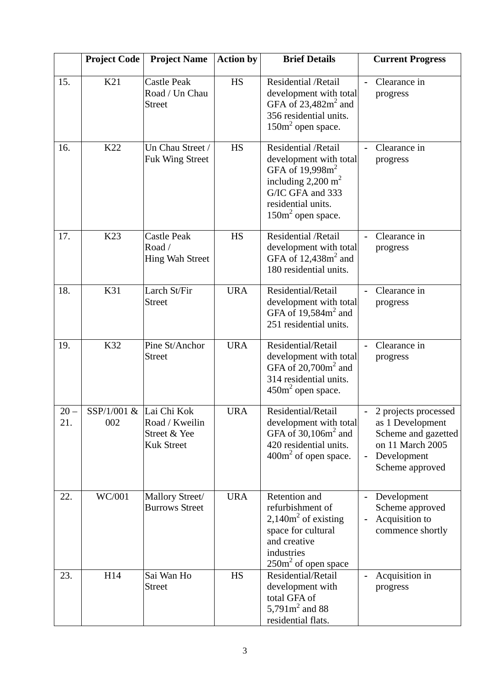|               | <b>Project Code</b>                      | <b>Project Name</b>                                    | <b>Action by</b> | <b>Brief Details</b>                                                                                                                                                   | <b>Current Progress</b>                                                                                                                 |
|---------------|------------------------------------------|--------------------------------------------------------|------------------|------------------------------------------------------------------------------------------------------------------------------------------------------------------------|-----------------------------------------------------------------------------------------------------------------------------------------|
| 15.           | K21                                      | <b>Castle Peak</b><br>Road / Un Chau<br><b>Street</b>  | <b>HS</b>        | Residential / Retail<br>development with total<br>GFA of $23,482m^2$ and<br>356 residential units.<br>$150m2$ open space.                                              | Clearance in<br>progress                                                                                                                |
| 16.           | K22                                      | Un Chau Street /<br><b>Fuk Wing Street</b>             | <b>HS</b>        | Residential / Retail<br>development with total<br>GFA of $19,998m^2$<br>including $2,200 \text{ m}^2$<br>G/IC GFA and 333<br>residential units.<br>$150m2$ open space. | Clearance in<br>progress                                                                                                                |
| 17.           | K <sub>23</sub>                          | <b>Castle Peak</b><br>Road /<br><b>Hing Wah Street</b> | <b>HS</b>        | Residential / Retail<br>development with total<br>GFA of $12,438m2$ and<br>180 residential units.                                                                      | Clearance in<br>progress                                                                                                                |
| 18.           | K31                                      | Larch St/Fir<br><b>Street</b>                          | <b>URA</b>       | Residential/Retail<br>development with total<br>GFA of $19,584m^2$ and<br>251 residential units.                                                                       | Clearance in<br>progress                                                                                                                |
| 19.           | K32                                      | Pine St/Anchor<br><b>Street</b>                        | <b>URA</b>       | Residential/Retail<br>development with total<br>GFA of $20,700m^2$ and<br>314 residential units.<br>$450m2$ open space.                                                | Clearance in<br>progress                                                                                                                |
| $20 -$<br>21. | $SSP/1/001 \& \text{Lai Chi Kok}$<br>002 | Road / Kweilin<br>Street & Yee<br><b>Kuk Street</b>    | <b>URA</b>       | Residential/Retail<br>development with total<br>GFA of $30,106m^2$ and<br>420 residential units.<br>$400m2$ of open space.                                             | 2 projects processed<br>as 1 Development<br>Scheme and gazetted<br>on 11 March 2005<br>Development<br>$\blacksquare$<br>Scheme approved |
| 22.           | WC/001                                   | Mallory Street/<br><b>Burrows Street</b>               | <b>URA</b>       | Retention and<br>refurbishment of<br>2,140 $m2$ of existing<br>space for cultural<br>and creative<br>industries<br>$250m2$ of open space                               | Development<br>Scheme approved<br>Acquisition to<br>commence shortly                                                                    |
| 23.           | H14                                      | Sai Wan Ho<br><b>Street</b>                            | <b>HS</b>        | Residential/Retail<br>development with<br>total GFA of<br>5,791 $m^2$ and 88<br>residential flats.                                                                     | Acquisition in<br>progress                                                                                                              |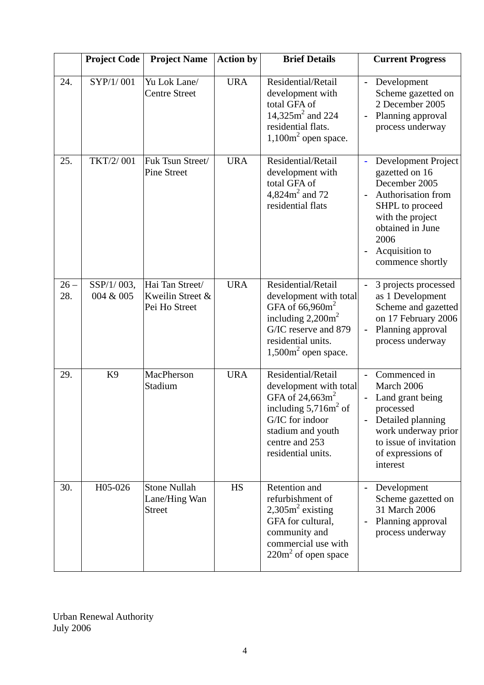|               | <b>Project Code</b>     | <b>Project Name</b>                                   | <b>Action by</b> | <b>Brief Details</b>                                                                                                                                                                     | <b>Current Progress</b>                                                                                                                                                                        |
|---------------|-------------------------|-------------------------------------------------------|------------------|------------------------------------------------------------------------------------------------------------------------------------------------------------------------------------------|------------------------------------------------------------------------------------------------------------------------------------------------------------------------------------------------|
| 24.           | SYP/1/001               | Yu Lok Lane/<br>Centre Street                         | <b>URA</b>       | Residential/Retail<br>development with<br>total GFA of<br>14,325 $m^2$ and 224<br>residential flats.<br>$1,100m2$ open space.                                                            | Development<br>Scheme gazetted on<br>2 December 2005<br>Planning approval<br>process underway                                                                                                  |
| 25.           | TKT/2/001               | Fuk Tsun Street/<br><b>Pine Street</b>                | <b>URA</b>       | Residential/Retail<br>development with<br>total GFA of<br>4,824 $m^2$ and 72<br>residential flats                                                                                        | Development Project<br>gazetted on 16<br>December 2005<br>Authorisation from<br>SHPL to proceed<br>with the project<br>obtained in June<br>2006<br>Acquisition to<br>commence shortly          |
| $26 -$<br>28. | SSP/1/003,<br>004 & 005 | Hai Tan Street/<br>Kweilin Street &<br>Pei Ho Street  | <b>URA</b>       | Residential/Retail<br>development with total<br>GFA of $66,960m^2$<br>including $2,200m^2$<br>G/IC reserve and 879<br>residential units.<br>$1,500m2$ open space.                        | 3 projects processed<br>as 1 Development<br>Scheme and gazetted<br>on 17 February 2006<br>Planning approval<br>$\blacksquare$<br>process underway                                              |
| 29.           | K <sub>9</sub>          | MacPherson<br>Stadium                                 | <b>URA</b>       | Residential/Retail<br>development with total<br>GFA of $24,663$ m <sup>2</sup><br>including $5,716m2$ of<br>G/IC for indoor<br>stadium and youth<br>centre and 253<br>residential units. | Commenced in<br>March 2006<br>Land grant being<br>processed<br>Detailed planning<br>$\overline{\phantom{0}}$<br>work underway prior<br>to issue of invitation<br>of expressions of<br>interest |
| 30.           | H05-026                 | <b>Stone Nullah</b><br>Lane/Hing Wan<br><b>Street</b> | <b>HS</b>        | Retention and<br>refurbishment of<br>$2,305m2$ existing<br>GFA for cultural.<br>community and<br>commercial use with<br>$220m2$ of open space                                            | Development<br>Scheme gazetted on<br>31 March 2006<br>Planning approval<br>process underway                                                                                                    |

Urban Renewal Authority July 2006